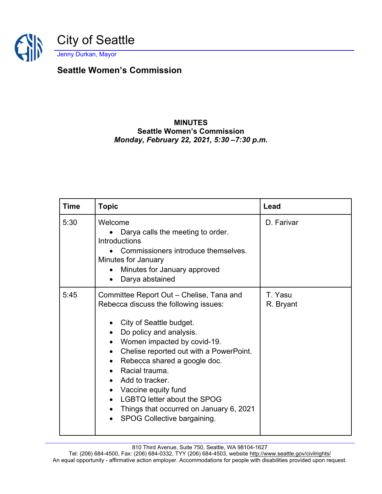

## **Seattle Women's Commission**

## **MINUTES Seattle Women's Commission** *Monday, February 22, 2021, 5:30 –7:30 p.m.*

| <b>Time</b> | <b>Topic</b>                                                                                                                                                                                                                                                                                                                                                                                                                                                                                                                                                    | Lead                 |
|-------------|-----------------------------------------------------------------------------------------------------------------------------------------------------------------------------------------------------------------------------------------------------------------------------------------------------------------------------------------------------------------------------------------------------------------------------------------------------------------------------------------------------------------------------------------------------------------|----------------------|
| 5:30        | Welcome<br>Darya calls the meeting to order.<br>Introductions<br>Commissioners introduce themselves.<br>Minutes for January<br>Minutes for January approved<br>$\bullet$<br>Darya abstained<br>$\bullet$                                                                                                                                                                                                                                                                                                                                                        | D. Farivar           |
| 5:45        | Committee Report Out - Chelise, Tana and<br>Rebecca discuss the following issues:<br>City of Seattle budget.<br>$\bullet$<br>Do policy and analysis.<br>$\bullet$<br>Women impacted by covid-19.<br>$\bullet$<br>Chelise reported out with a PowerPoint.<br>$\bullet$<br>Rebecca shared a google doc.<br>$\bullet$<br>Racial trauma.<br>$\bullet$<br>Add to tracker.<br>$\bullet$<br>Vaccine equity fund<br>$\bullet$<br><b>LGBTQ letter about the SPOG</b><br>$\bullet$<br>Things that occurred on January 6, 2021<br>$\bullet$<br>SPOG Collective bargaining. | T. Yasu<br>R. Bryant |

810 Third Avenue, Suite 750, Seattle, WA 98104-1627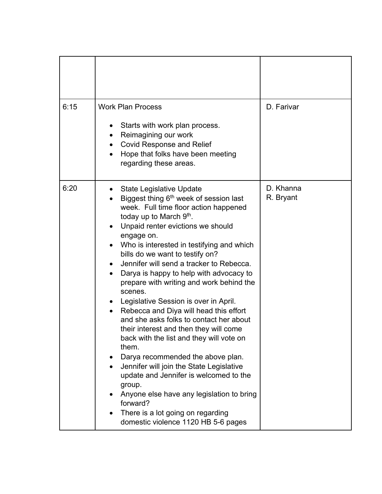| 6:15 | <b>Work Plan Process</b>                                                                                                                                                                                                                                                                                                                                                                                                                                                                                                                                                                                                                                                                                                                                                                                                                                                                                                                                                   | D. Farivar             |
|------|----------------------------------------------------------------------------------------------------------------------------------------------------------------------------------------------------------------------------------------------------------------------------------------------------------------------------------------------------------------------------------------------------------------------------------------------------------------------------------------------------------------------------------------------------------------------------------------------------------------------------------------------------------------------------------------------------------------------------------------------------------------------------------------------------------------------------------------------------------------------------------------------------------------------------------------------------------------------------|------------------------|
|      | Starts with work plan process.<br>Reimagining our work<br><b>Covid Response and Relief</b><br>Hope that folks have been meeting<br>regarding these areas.                                                                                                                                                                                                                                                                                                                                                                                                                                                                                                                                                                                                                                                                                                                                                                                                                  |                        |
| 6:20 | <b>State Legislative Update</b><br>Biggest thing 6 <sup>th</sup> week of session last<br>week. Full time floor action happened<br>today up to March 9th.<br>Unpaid renter evictions we should<br>engage on.<br>Who is interested in testifying and which<br>$\bullet$<br>bills do we want to testify on?<br>Jennifer will send a tracker to Rebecca.<br>$\bullet$<br>Darya is happy to help with advocacy to<br>prepare with writing and work behind the<br>scenes.<br>Legislative Session is over in April.<br>Rebecca and Diya will head this effort<br>and she asks folks to contact her about<br>their interest and then they will come<br>back with the list and they will vote on<br>them.<br>Darya recommended the above plan.<br>Jennifer will join the State Legislative<br>update and Jennifer is welcomed to the<br>group.<br>Anyone else have any legislation to bring<br>forward?<br>There is a lot going on regarding<br>domestic violence 1120 HB 5-6 pages | D. Khanna<br>R. Bryant |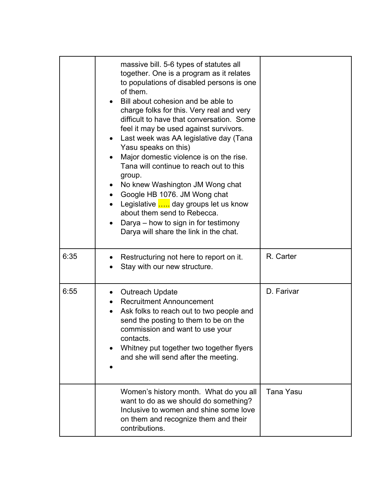|      | massive bill. 5-6 types of statutes all<br>together. One is a program as it relates<br>to populations of disabled persons is one<br>of them.<br>Bill about cohesion and be able to<br>charge folks for this. Very real and very<br>difficult to have that conversation. Some<br>feel it may be used against survivors.<br>Last week was AA legislative day (Tana<br>Yasu speaks on this)<br>Major domestic violence is on the rise.<br>Tana will continue to reach out to this<br>group.<br>No knew Washington JM Wong chat<br>$\bullet$<br>Google HB 1076. JM Wong chat<br>Legislative  day groups let us know<br>about them send to Rebecca.<br>Darya – how to sign in for testimony<br>Darya will share the link in the chat. |                  |
|------|----------------------------------------------------------------------------------------------------------------------------------------------------------------------------------------------------------------------------------------------------------------------------------------------------------------------------------------------------------------------------------------------------------------------------------------------------------------------------------------------------------------------------------------------------------------------------------------------------------------------------------------------------------------------------------------------------------------------------------|------------------|
| 6:35 | Restructuring not here to report on it.<br>Stay with our new structure.                                                                                                                                                                                                                                                                                                                                                                                                                                                                                                                                                                                                                                                          | R. Carter        |
| 6:55 | <b>Outreach Update</b><br><b>Recruitment Announcement</b><br>Ask folks to reach out to two people and<br>send the posting to them to be on the<br>commission and want to use your<br>contacts.<br>Whitney put together two together flyers<br>and she will send after the meeting.                                                                                                                                                                                                                                                                                                                                                                                                                                               | D. Farivar       |
|      | Women's history month. What do you all<br>want to do as we should do something?<br>Inclusive to women and shine some love<br>on them and recognize them and their<br>contributions.                                                                                                                                                                                                                                                                                                                                                                                                                                                                                                                                              | <b>Tana Yasu</b> |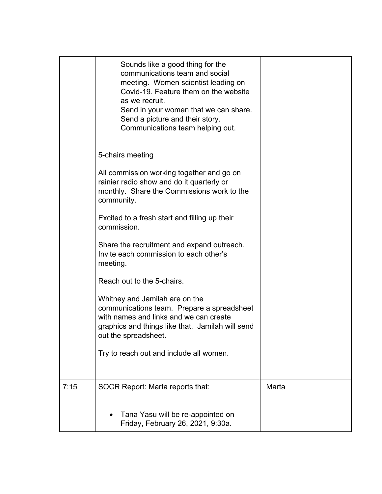|      | Sounds like a good thing for the<br>communications team and social<br>meeting. Women scientist leading on<br>Covid-19. Feature them on the website<br>as we recruit.<br>Send in your women that we can share.<br>Send a picture and their story.<br>Communications team helping out. |       |
|------|--------------------------------------------------------------------------------------------------------------------------------------------------------------------------------------------------------------------------------------------------------------------------------------|-------|
|      | 5-chairs meeting                                                                                                                                                                                                                                                                     |       |
|      | All commission working together and go on<br>rainier radio show and do it quarterly or<br>monthly. Share the Commissions work to the<br>community.                                                                                                                                   |       |
|      | Excited to a fresh start and filling up their<br>commission.                                                                                                                                                                                                                         |       |
|      | Share the recruitment and expand outreach.<br>Invite each commission to each other's<br>meeting.                                                                                                                                                                                     |       |
|      | Reach out to the 5-chairs.                                                                                                                                                                                                                                                           |       |
|      | Whitney and Jamilah are on the<br>communications team. Prepare a spreadsheet<br>with names and links and we can create<br>graphics and things like that. Jamilah will send<br>out the spreadsheet.                                                                                   |       |
|      | Try to reach out and include all women.                                                                                                                                                                                                                                              |       |
|      |                                                                                                                                                                                                                                                                                      |       |
| 7:15 | <b>SOCR Report: Marta reports that:</b>                                                                                                                                                                                                                                              | Marta |
|      | Tana Yasu will be re-appointed on<br>Friday, February 26, 2021, 9:30a.                                                                                                                                                                                                               |       |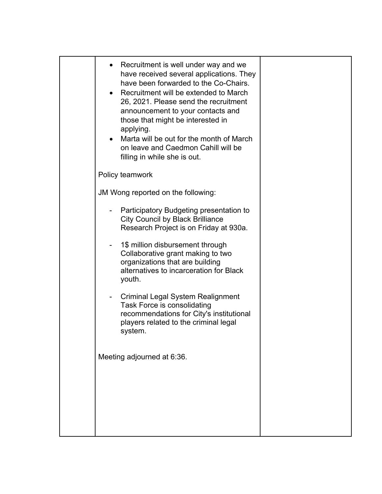| Recruitment is well under way and we<br>have received several applications. They<br>have been forwarded to the Co-Chairs.<br>Recruitment will be extended to March<br>26, 2021. Please send the recruitment<br>announcement to your contacts and<br>those that might be interested in<br>applying.<br>Marta will be out for the month of March<br>on leave and Caedmon Cahill will be<br>filling in while she is out. |  |
|-----------------------------------------------------------------------------------------------------------------------------------------------------------------------------------------------------------------------------------------------------------------------------------------------------------------------------------------------------------------------------------------------------------------------|--|
| Policy teamwork                                                                                                                                                                                                                                                                                                                                                                                                       |  |
| JM Wong reported on the following:                                                                                                                                                                                                                                                                                                                                                                                    |  |
| Participatory Budgeting presentation to<br><b>City Council by Black Brilliance</b><br>Research Project is on Friday at 930a.                                                                                                                                                                                                                                                                                          |  |
| 1\$ million disbursement through<br>Collaborative grant making to two<br>organizations that are building<br>alternatives to incarceration for Black<br>youth.                                                                                                                                                                                                                                                         |  |
| Criminal Legal System Realignment<br>-<br>Task Force is consolidating<br>recommendations for City's institutional<br>players related to the criminal legal<br>system.                                                                                                                                                                                                                                                 |  |
| Meeting adjourned at 6:36.                                                                                                                                                                                                                                                                                                                                                                                            |  |
|                                                                                                                                                                                                                                                                                                                                                                                                                       |  |